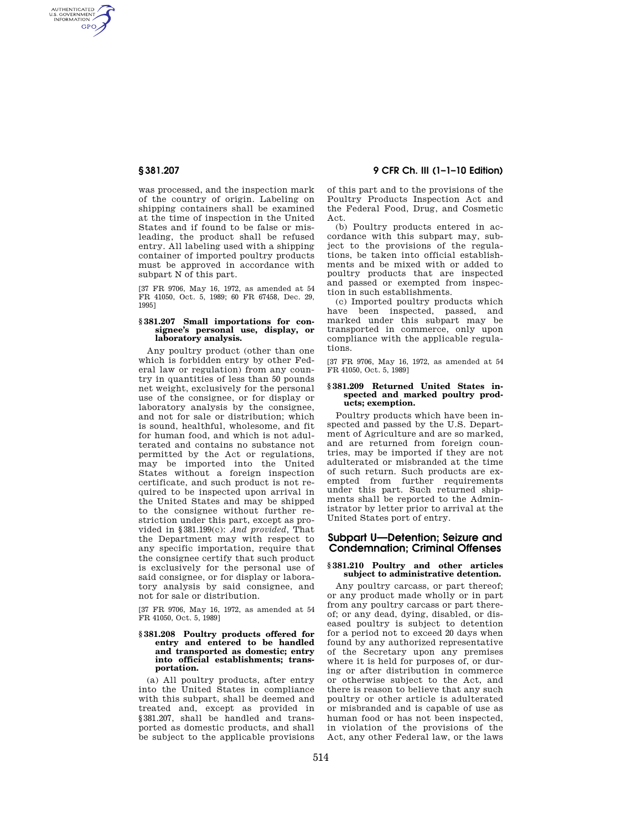AUTHENTICATED<br>U.S. GOVERNMENT<br>INFORMATION **GPO** 

> was processed, and the inspection mark of the country of origin. Labeling on shipping containers shall be examined at the time of inspection in the United States and if found to be false or misleading, the product shall be refused entry. All labeling used with a shipping container of imported poultry products must be approved in accordance with subpart N of this part.

> [37 FR 9706, May 16, 1972, as amended at 54 FR 41050, Oct. 5, 1989; 60 FR 67458, Dec. 29, 1995]

### **§ 381.207 Small importations for consignee's personal use, display, or laboratory analysis.**

Any poultry product (other than one which is forbidden entry by other Federal law or regulation) from any country in quantities of less than 50 pounds net weight, exclusively for the personal use of the consignee, or for display or laboratory analysis by the consignee, and not for sale or distribution; which is sound, healthful, wholesome, and fit for human food, and which is not adulterated and contains no substance not permitted by the Act or regulations, may be imported into the United States without a foreign inspection certificate, and such product is not required to be inspected upon arrival in the United States and may be shipped to the consignee without further restriction under this part, except as provided in §381.199(c): *And provided,* That the Department may with respect to any specific importation, require that the consignee certify that such product is exclusively for the personal use of said consignee, or for display or laboratory analysis by said consignee, and not for sale or distribution.

[37 FR 9706, May 16, 1972, as amended at 54 FR 41050, Oct. 5, 1989]

#### **§ 381.208 Poultry products offered for entry and entered to be handled and transported as domestic; entry into official establishments; transportation.**

(a) All poultry products, after entry into the United States in compliance with this subpart, shall be deemed and treated and, except as provided in §381.207, shall be handled and transported as domestic products, and shall be subject to the applicable provisions

# **§ 381.207 9 CFR Ch. III (1–1–10 Edition)**

of this part and to the provisions of the Poultry Products Inspection Act and the Federal Food, Drug, and Cosmetic Act.

(b) Poultry products entered in accordance with this subpart may, subject to the provisions of the regulations, be taken into official establishments and be mixed with or added to poultry products that are inspected and passed or exempted from inspection in such establishments.

(c) Imported poultry products which have been inspected, passed, and marked under this subpart may be transported in commerce, only upon compliance with the applicable regulations.

[37 FR 9706, May 16, 1972, as amended at 54 FR 41050, Oct. 5, 1989]

# **§ 381.209 Returned United States inspected and marked poultry products; exemption.**

Poultry products which have been inspected and passed by the U.S. Department of Agriculture and are so marked, and are returned from foreign countries, may be imported if they are not adulterated or misbranded at the time of such return. Such products are exempted from further requirements under this part. Such returned shipments shall be reported to the Administrator by letter prior to arrival at the United States port of entry.

# **Subpart U—Detention; Seizure and Condemnation; Criminal Offenses**

### **§ 381.210 Poultry and other articles subject to administrative detention.**

Any poultry carcass, or part thereof; or any product made wholly or in part from any poultry carcass or part thereof; or any dead, dying, disabled, or diseased poultry is subject to detention for a period not to exceed 20 days when found by any authorized representative of the Secretary upon any premises where it is held for purposes of, or during or after distribution in commerce or otherwise subject to the Act, and there is reason to believe that any such poultry or other article is adulterated or misbranded and is capable of use as human food or has not been inspected, in violation of the provisions of the Act, any other Federal law, or the laws